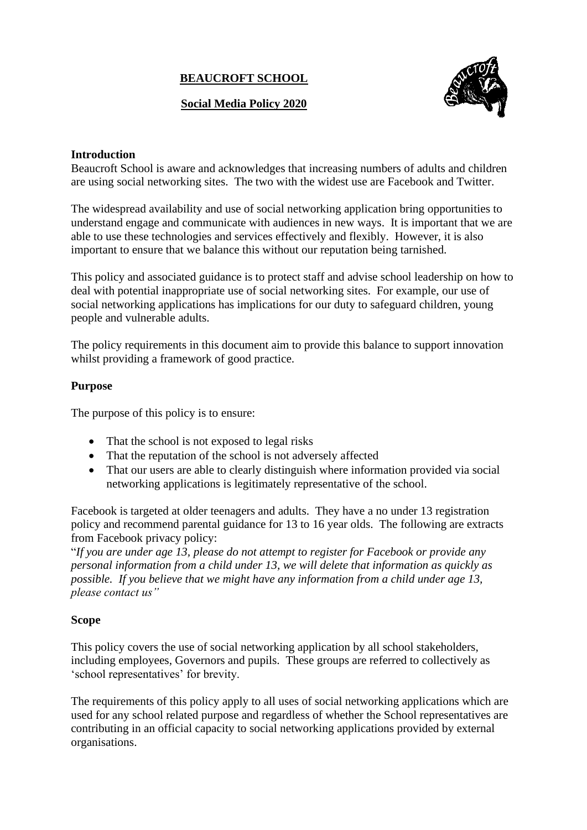# **BEAUCROFT SCHOOL**

# **Social Media Policy 2020**



### **Introduction**

Beaucroft School is aware and acknowledges that increasing numbers of adults and children are using social networking sites. The two with the widest use are Facebook and Twitter.

The widespread availability and use of social networking application bring opportunities to understand engage and communicate with audiences in new ways. It is important that we are able to use these technologies and services effectively and flexibly. However, it is also important to ensure that we balance this without our reputation being tarnished.

This policy and associated guidance is to protect staff and advise school leadership on how to deal with potential inappropriate use of social networking sites. For example, our use of social networking applications has implications for our duty to safeguard children, young people and vulnerable adults.

The policy requirements in this document aim to provide this balance to support innovation whilst providing a framework of good practice.

#### **Purpose**

The purpose of this policy is to ensure:

- That the school is not exposed to legal risks
- That the reputation of the school is not adversely affected
- That our users are able to clearly distinguish where information provided via social networking applications is legitimately representative of the school.

Facebook is targeted at older teenagers and adults. They have a no under 13 registration policy and recommend parental guidance for 13 to 16 year olds. The following are extracts from Facebook privacy policy:

"*If you are under age 13, please do not attempt to register for Facebook or provide any personal information from a child under 13, we will delete that information as quickly as possible. If you believe that we might have any information from a child under age 13, please contact us"*

# **Scope**

This policy covers the use of social networking application by all school stakeholders, including employees, Governors and pupils. These groups are referred to collectively as 'school representatives' for brevity.

The requirements of this policy apply to all uses of social networking applications which are used for any school related purpose and regardless of whether the School representatives are contributing in an official capacity to social networking applications provided by external organisations.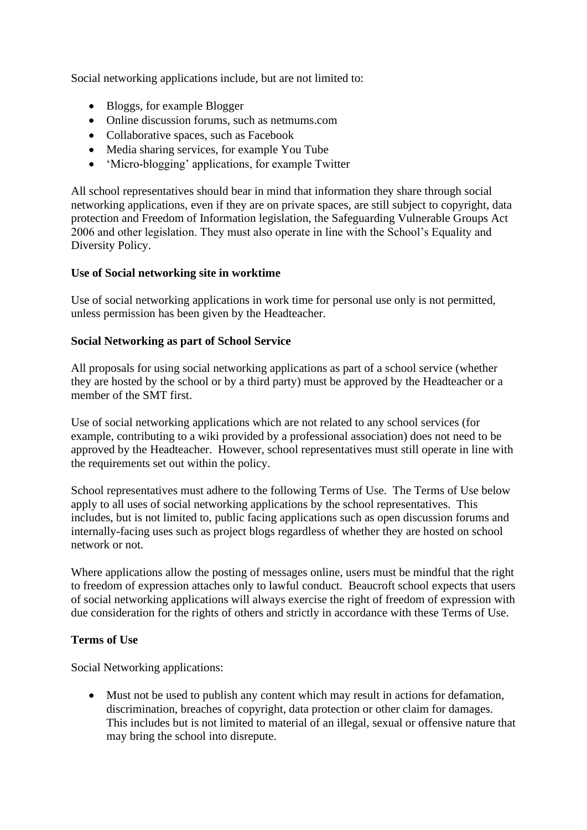Social networking applications include, but are not limited to:

- Bloggs, for example Blogger
- Online discussion forums, such as netmums.com
- Collaborative spaces, such as Facebook
- Media sharing services, for example You Tube
- 'Micro-blogging' applications, for example Twitter

All school representatives should bear in mind that information they share through social networking applications, even if they are on private spaces, are still subject to copyright, data protection and Freedom of Information legislation, the Safeguarding Vulnerable Groups Act 2006 and other legislation. They must also operate in line with the School's Equality and Diversity Policy.

# **Use of Social networking site in worktime**

Use of social networking applications in work time for personal use only is not permitted, unless permission has been given by the Headteacher.

#### **Social Networking as part of School Service**

All proposals for using social networking applications as part of a school service (whether they are hosted by the school or by a third party) must be approved by the Headteacher or a member of the SMT first.

Use of social networking applications which are not related to any school services (for example, contributing to a wiki provided by a professional association) does not need to be approved by the Headteacher. However, school representatives must still operate in line with the requirements set out within the policy.

School representatives must adhere to the following Terms of Use. The Terms of Use below apply to all uses of social networking applications by the school representatives. This includes, but is not limited to, public facing applications such as open discussion forums and internally-facing uses such as project blogs regardless of whether they are hosted on school network or not.

Where applications allow the posting of messages online, users must be mindful that the right to freedom of expression attaches only to lawful conduct. Beaucroft school expects that users of social networking applications will always exercise the right of freedom of expression with due consideration for the rights of others and strictly in accordance with these Terms of Use.

# **Terms of Use**

Social Networking applications:

• Must not be used to publish any content which may result in actions for defamation, discrimination, breaches of copyright, data protection or other claim for damages. This includes but is not limited to material of an illegal, sexual or offensive nature that may bring the school into disrepute.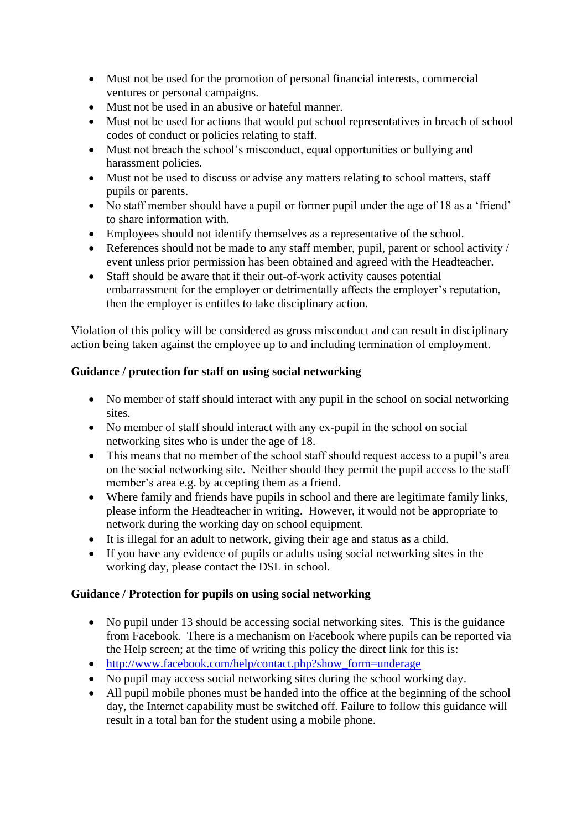- Must not be used for the promotion of personal financial interests, commercial ventures or personal campaigns.
- Must not be used in an abusive or hateful manner.
- Must not be used for actions that would put school representatives in breach of school codes of conduct or policies relating to staff.
- Must not breach the school's misconduct, equal opportunities or bullying and harassment policies.
- Must not be used to discuss or advise any matters relating to school matters, staff pupils or parents.
- No staff member should have a pupil or former pupil under the age of 18 as a 'friend' to share information with.
- Employees should not identify themselves as a representative of the school.
- References should not be made to any staff member, pupil, parent or school activity / event unless prior permission has been obtained and agreed with the Headteacher.
- Staff should be aware that if their out-of-work activity causes potential embarrassment for the employer or detrimentally affects the employer's reputation, then the employer is entitles to take disciplinary action.

Violation of this policy will be considered as gross misconduct and can result in disciplinary action being taken against the employee up to and including termination of employment.

# **Guidance / protection for staff on using social networking**

- No member of staff should interact with any pupil in the school on social networking sites.
- No member of staff should interact with any ex-pupil in the school on social networking sites who is under the age of 18.
- This means that no member of the school staff should request access to a pupil's area on the social networking site. Neither should they permit the pupil access to the staff member's area e.g. by accepting them as a friend.
- Where family and friends have pupils in school and there are legitimate family links, please inform the Headteacher in writing. However, it would not be appropriate to network during the working day on school equipment.
- It is illegal for an adult to network, giving their age and status as a child.
- If you have any evidence of pupils or adults using social networking sites in the working day, please contact the DSL in school.

# **Guidance / Protection for pupils on using social networking**

- No pupil under 13 should be accessing social networking sites. This is the guidance from Facebook. There is a mechanism on Facebook where pupils can be reported via the Help screen; at the time of writing this policy the direct link for this is:
- [http://www.facebook.com/help/contact.php?show\\_form=underage](http://www.facebook.com/help/contact.php?show_form=underage)
- No pupil may access social networking sites during the school working day.
- All pupil mobile phones must be handed into the office at the beginning of the school day, the Internet capability must be switched off. Failure to follow this guidance will result in a total ban for the student using a mobile phone.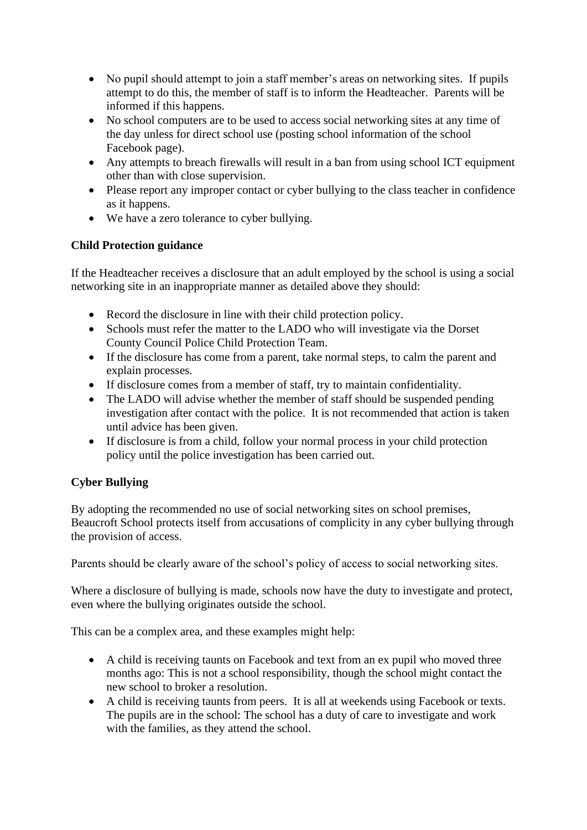- No pupil should attempt to join a staff member's areas on networking sites. If pupils attempt to do this, the member of staff is to inform the Headteacher. Parents will be informed if this happens.
- No school computers are to be used to access social networking sites at any time of the day unless for direct school use (posting school information of the school Facebook page).
- Any attempts to breach firewalls will result in a ban from using school ICT equipment other than with close supervision.
- Please report any improper contact or cyber bullying to the class teacher in confidence as it happens.
- We have a zero tolerance to cyber bullying.

# **Child Protection guidance**

If the Headteacher receives a disclosure that an adult employed by the school is using a social networking site in an inappropriate manner as detailed above they should:

- Record the disclosure in line with their child protection policy.
- Schools must refer the matter to the LADO who will investigate via the Dorset County Council Police Child Protection Team.
- If the disclosure has come from a parent, take normal steps, to calm the parent and explain processes.
- If disclosure comes from a member of staff, try to maintain confidentiality.
- The LADO will advise whether the member of staff should be suspended pending investigation after contact with the police. It is not recommended that action is taken until advice has been given.
- If disclosure is from a child, follow your normal process in your child protection policy until the police investigation has been carried out.

# **Cyber Bullying**

By adopting the recommended no use of social networking sites on school premises, Beaucroft School protects itself from accusations of complicity in any cyber bullying through the provision of access.

Parents should be clearly aware of the school's policy of access to social networking sites.

Where a disclosure of bullying is made, schools now have the duty to investigate and protect, even where the bullying originates outside the school.

This can be a complex area, and these examples might help:

- A child is receiving taunts on Facebook and text from an ex pupil who moved three months ago: This is not a school responsibility, though the school might contact the new school to broker a resolution.
- A child is receiving taunts from peers. It is all at weekends using Facebook or texts. The pupils are in the school: The school has a duty of care to investigate and work with the families, as they attend the school.